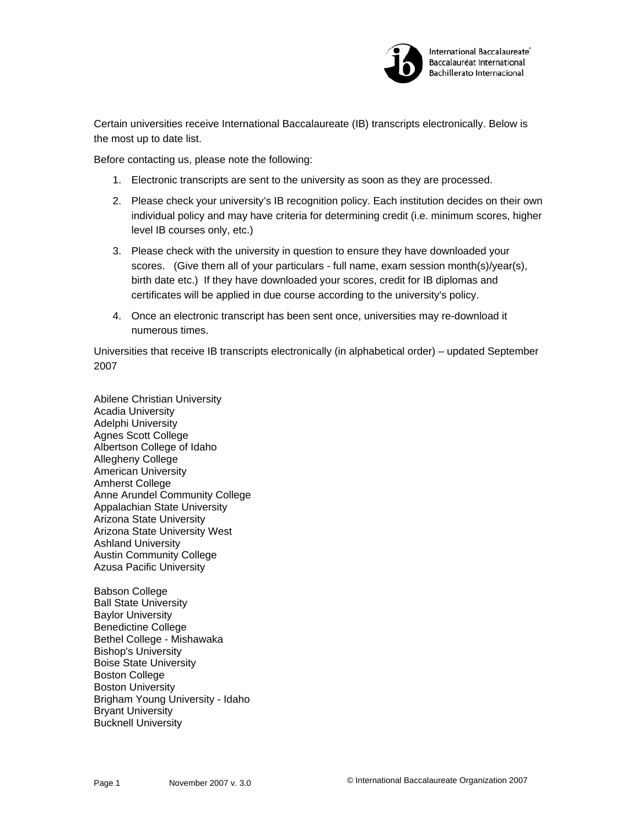

International Baccalaureate® Baccalauréat International **Bachillerato Internacional** 

Certain universities receive International Baccalaureate (IB) transcripts electronically. Below is the most up to date list.

Before contacting us, please note the following:

- 1. Electronic transcripts are sent to the university as soon as they are processed.
- 2. Please check your university's IB recognition policy. Each institution decides on their own individual policy and may have criteria for determining credit (i.e. minimum scores, higher level IB courses only, etc.)
- 3. Please check with the university in question to ensure they have downloaded your scores. (Give them all of your particulars - full name, exam session month(s)/year(s), birth date etc.) If they have downloaded your scores, credit for IB diplomas and certificates will be applied in due course according to the university's policy.
- 4. Once an electronic transcript has been sent once, universities may re-download it numerous times.

Universities that receive IB transcripts electronically (in alphabetical order) – updated September 2007

Abilene Christian University Acadia University Adelphi University Agnes Scott College Albertson College of Idaho Allegheny College American University Amherst College Anne Arundel Community College Appalachian State University Arizona State University Arizona State University West Ashland University Austin Community College Azusa Pacific University

Babson College Ball State University Baylor University Benedictine College Bethel College - Mishawaka Bishop's University Boise State University Boston College Boston University Brigham Young University - Idaho Bryant University Bucknell University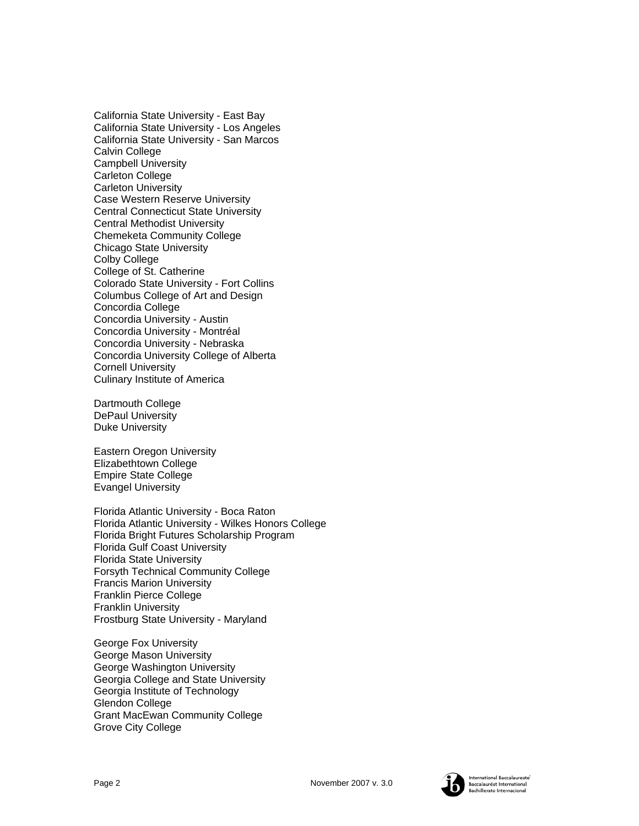California State University - East Bay California State University - Los Angeles California State University - San Marcos Calvin College Campbell University Carleton College Carleton University Case Western Reserve University Central Connecticut State University Central Methodist University Chemeketa Community College Chicago State University Colby College College of St. Catherine Colorado State University - Fort Collins Columbus College of Art and Design Concordia College Concordia University - Austin Concordia University - Montréal Concordia University - Nebraska Concordia University College of Alberta Cornell University Culinary Institute of America

Dartmouth College DePaul University Duke University

Eastern Oregon University Elizabethtown College Empire State College Evangel University

Florida Atlantic University - Boca Raton Florida Atlantic University - Wilkes Honors College Florida Bright Futures Scholarship Program Florida Gulf Coast University Florida State University Forsyth Technical Community College Francis Marion University Franklin Pierce College Franklin University Frostburg State University - Maryland

George Fox University George Mason University George Washington University Georgia College and State University Georgia Institute of Technology Glendon College Grant MacEwan Community College Grove City College

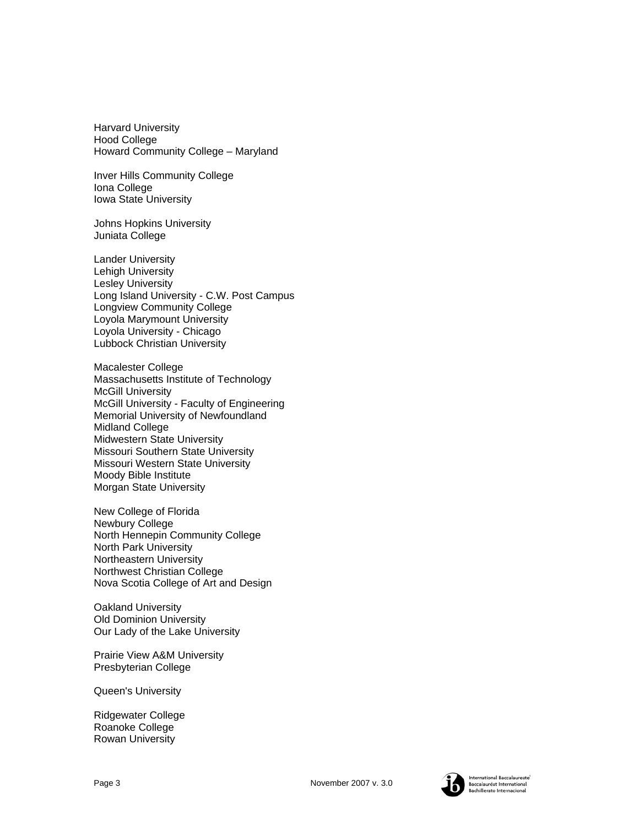Harvard University Hood College Howard Community College – Maryland

Inver Hills Community College Iona College Iowa State University

Johns Hopkins University Juniata College

Lander University Lehigh University Lesley University Long Island University - C.W. Post Campus Longview Community College Loyola Marymount University Loyola University - Chicago Lubbock Christian University

Macalester College Massachusetts Institute of Technology McGill University McGill University - Faculty of Engineering Memorial University of Newfoundland Midland College Midwestern State University Missouri Southern State University Missouri Western State University Moody Bible Institute Morgan State University

New College of Florida Newbury College North Hennepin Community College North Park University Northeastern University Northwest Christian College Nova Scotia College of Art and Design

Oakland University Old Dominion University Our Lady of the Lake University

Prairie View A&M University Presbyterian College

Queen's University

Ridgewater College Roanoke College Rowan University



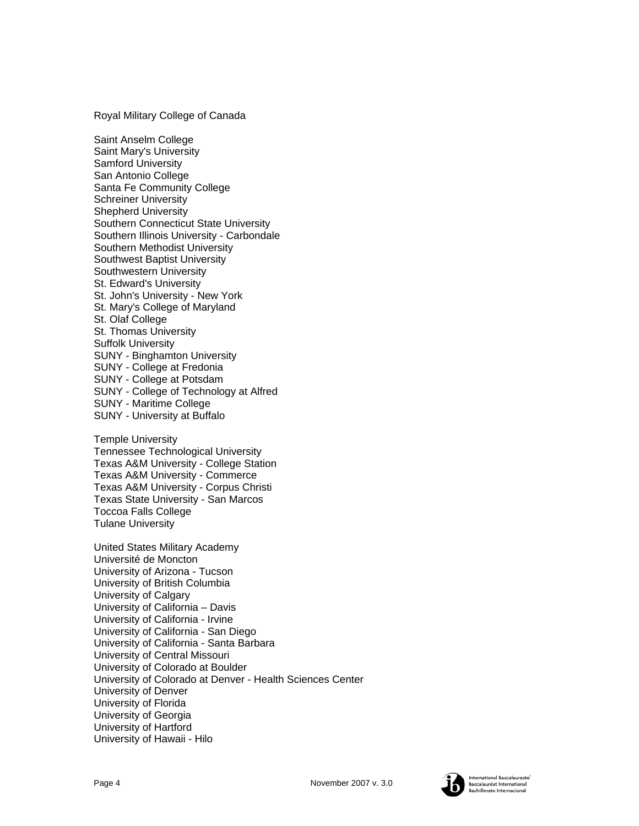Royal Military College of Canada

Saint Anselm College Saint Mary's University Samford University San Antonio College Santa Fe Community College Schreiner University Shepherd University Southern Connecticut State University Southern Illinois University - Carbondale Southern Methodist University Southwest Baptist University Southwestern University St. Edward's University St. John's University - New York St. Mary's College of Maryland St. Olaf College St. Thomas University Suffolk University SUNY - Binghamton University SUNY - College at Fredonia SUNY - College at Potsdam SUNY - College of Technology at Alfred SUNY - Maritime College SUNY - University at Buffalo

Temple University Tennessee Technological University Texas A&M University - College Station Texas A&M University - Commerce Texas A&M University - Corpus Christi Texas State University - San Marcos Toccoa Falls College Tulane University

United States Military Academy Université de Moncton University of Arizona - Tucson University of British Columbia University of Calgary University of California – Davis University of California - Irvine University of California - San Diego University of California - Santa Barbara University of Central Missouri University of Colorado at Boulder University of Colorado at Denver - Health Sciences Center University of Denver University of Florida University of Georgia University of Hartford University of Hawaii - Hilo

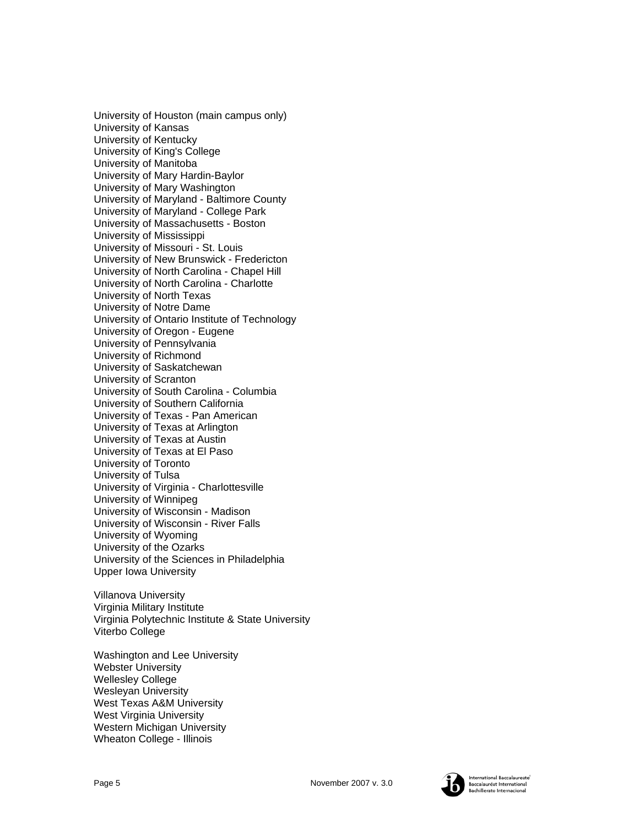University of Houston (main campus only) University of Kansas University of Kentucky University of King's College University of Manitoba University of Mary Hardin-Baylor University of Mary Washington University of Maryland - Baltimore County University of Maryland - College Park University of Massachusetts - Boston University of Mississippi University of Missouri - St. Louis University of New Brunswick - Fredericton University of North Carolina - Chapel Hill University of North Carolina - Charlotte University of North Texas University of Notre Dame University of Ontario Institute of Technology University of Oregon - Eugene University of Pennsylvania University of Richmond University of Saskatchewan University of Scranton University of South Carolina - Columbia University of Southern California University of Texas - Pan American University of Texas at Arlington University of Texas at Austin University of Texas at El Paso University of Toronto University of Tulsa University of Virginia - Charlottesville University of Winnipeg University of Wisconsin - Madison University of Wisconsin - River Falls University of Wyoming University of the Ozarks University of the Sciences in Philadelphia Upper Iowa University

Villanova University Virginia Military Institute Virginia Polytechnic Institute & State University Viterbo College

Washington and Lee University Webster University Wellesley College Wesleyan University West Texas A&M University West Virginia University Western Michigan University Wheaton College - Illinois